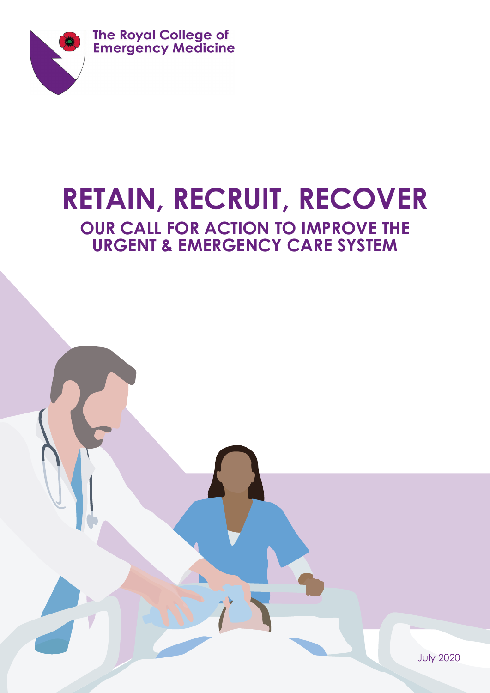

**The Royal College of<br>Emergency Medicine** 

# **RETAIN, RECRUIT, RECOVER OUR CALL FOR ACTION TO IMPROVE THE URGENT & EMERGENCY CARE SYSTEM**

July 2020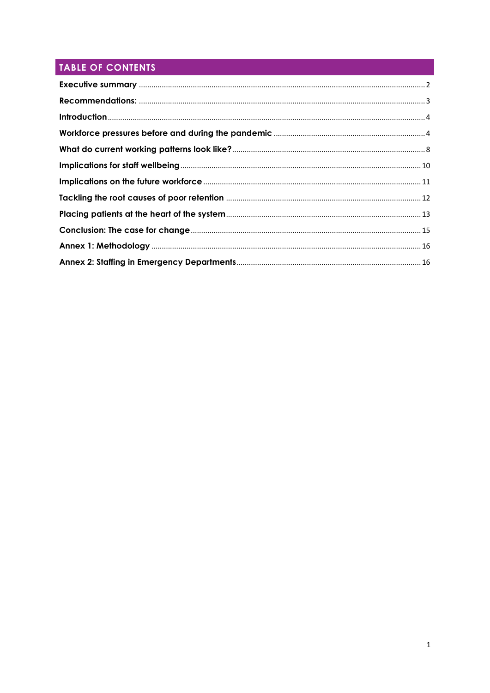# TABLE OF CONTENTS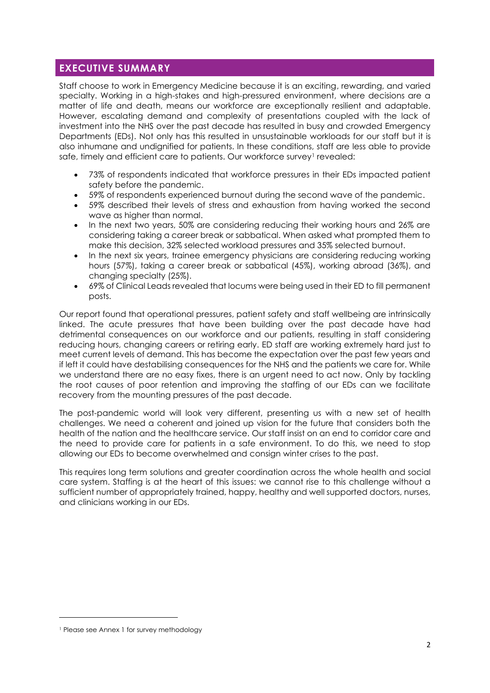## <span id="page-2-0"></span>**EXECUTIVE SUMMARY**

Staff choose to work in Emergency Medicine because it is an exciting, rewarding, and varied specialty. Working in a high-stakes and high-pressured environment, where decisions are a matter of life and death, means our workforce are exceptionally resilient and adaptable. However, escalating demand and complexity of presentations coupled with the lack of investment into the NHS over the past decade has resulted in busy and crowded Emergency Departments (EDs). Not only has this resulted in unsustainable workloads for our staff but it is also inhumane and undignified for patients. In these conditions, staff are less able to provide safe, timely and efficient care to patients. Our workforce survey<sup>1</sup> revealed:

- 73% of respondents indicated that workforce pressures in their EDs impacted patient safety before the pandemic.
- 59% of respondents experienced burnout during the second wave of the pandemic.
- 59% described their levels of stress and exhaustion from having worked the second wave as higher than normal.
- In the next two years, 50% are considering reducing their working hours and 26% are considering taking a career break or sabbatical. When asked what prompted them to make this decision, 32% selected workload pressures and 35% selected burnout.
- In the next six years, trainee emergency physicians are considering reducing working hours (57%), taking a career break or sabbatical (45%), working abroad (36%), and changing specialty (25%).
- 69% of Clinical Leads revealed that locums were being used in their ED to fill permanent posts.

Our report found that operational pressures, patient safety and staff wellbeing are intrinsically linked. The acute pressures that have been building over the past decade have had detrimental consequences on our workforce and our patients, resulting in staff considering reducing hours, changing careers or retiring early. ED staff are working extremely hard just to meet current levels of demand. This has become the expectation over the past few years and if left it could have destabilising consequences for the NHS and the patients we care for. While we understand there are no easy fixes, there is an urgent need to act now. Only by tackling the root causes of poor retention and improving the staffing of our EDs can we facilitate recovery from the mounting pressures of the past decade.

The post-pandemic world will look very different, presenting us with a new set of health challenges. We need a coherent and joined up vision for the future that considers both the health of the nation and the healthcare service. Our staff insist on an end to corridor care and the need to provide care for patients in a safe environment. To do this, we need to stop allowing our EDs to become overwhelmed and consign winter crises to the past.

This requires long term solutions and greater coordination across the whole health and social care system. Staffing is at the heart of this issues: we cannot rise to this challenge without a sufficient number of appropriately trained, happy, healthy and well supported doctors, nurses, and clinicians working in our EDs.

<sup>1</sup> Please see Annex 1 for survey methodology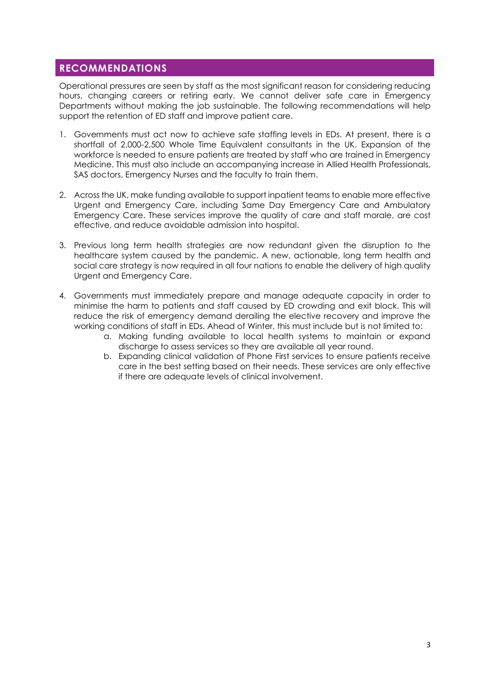## <span id="page-3-0"></span>**RECOMMENDATIONS**

Operational pressures are seen by staff as the most significant reason for considering reducing hours, changing careers or retiring early. We cannot deliver safe care in Emergency Departments without making the job sustainable. The following recommendations will help support the retention of ED staff and improve patient care.

- 1. Governments must act now to achieve safe staffing levels in EDs. At present, there is a shortfall of 2,000-2,500 Whole Time Equivalent consultants in the UK. Expansion of the workforce is needed to ensure patients are treated by staff who are trained in Emergency Medicine. This must also include an accompanying increase in Allied Health Professionals, SAS doctors, Emergency Nurses and the faculty to train them.
- 2. Across the UK, make funding available to support inpatient teams to enable more effective Urgent and Emergency Care, including Same Day Emergency Care and Ambulatory Emergency Care. These services improve the quality of care and staff morale, are cost effective, and reduce avoidable admission into hospital.
- 3. Previous long term health strategies are now redundant given the disruption to the healthcare system caused by the pandemic. A new, actionable, long term health and social care strategy is now required in all four nations to enable the delivery of high quality Urgent and Emergency Care.
- 4. Governments must immediately prepare and manage adequate capacity in order to minimise the harm to patients and staff caused by ED crowding and exit block. This will reduce the risk of emergency demand derailing the elective recovery and improve the working conditions of staff in EDs. Ahead of Winter, this must include but is not limited to:
	- a. Making funding available to local health systems to maintain or expand discharge to assess services so they are available all year round.
	- b. Expanding clinical validation of Phone First services to ensure patients receive care in the best setting based on their needs. These services are only effective if there are adequate levels of clinical involvement.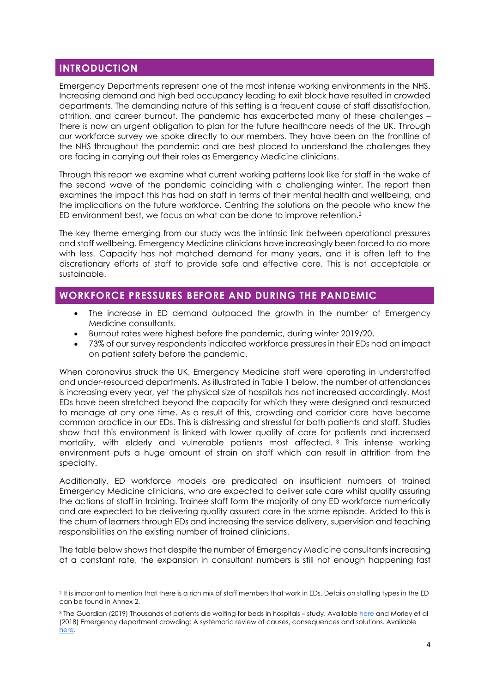## <span id="page-4-0"></span>**INTRODUCTION**

Emergency Departments represent one of the most intense working environments in the NHS. Increasing demand and high bed occupancy leading to exit block have resulted in crowded departments. The demanding nature of this setting is a frequent cause of staff dissatisfaction, attrition, and career burnout. The pandemic has exacerbated many of these challenges – there is now an urgent obligation to plan for the future healthcare needs of the UK. Through our workforce survey we spoke directly to our members. They have been on the frontline of the NHS throughout the pandemic and are best placed to understand the challenges they are facing in carrying out their roles as Emergency Medicine clinicians.

Through this report we examine what current working patterns look like for staff in the wake of the second wave of the pandemic coinciding with a challenging winter. The report then examines the impact this has had on staff in terms of their mental health and wellbeing, and the implications on the future workforce. Centring the solutions on the people who know the ED environment best, we focus on what can be done to improve retention. 2

The key theme emerging from our study was the intrinsic link between operational pressures and staff wellbeing. Emergency Medicine clinicians have increasingly been forced to do more with less. Capacity has not matched demand for many years, and it is often left to the discretionary efforts of staff to provide safe and effective care. This is not acceptable or sustainable.

## <span id="page-4-1"></span>**WORKFORCE PRESSURES BEFORE AND DURING THE PANDEMIC**

- The increase in ED demand outpaced the growth in the number of Emergency Medicine consultants.
- Burnout rates were highest before the pandemic, during winter 2019/20.
- 73% of our survey respondents indicated workforce pressures in their EDs had an impact on patient safety before the pandemic.

When coronavirus struck the UK, Emergency Medicine staff were operating in understaffed and under-resourced departments. As illustrated in Table 1 below, the number of attendances is increasing every year, yet the physical size of hospitals has not increased accordingly. Most EDs have been stretched beyond the capacity for which they were designed and resourced to manage at any one time. As a result of this, crowding and corridor care have become common practice in our EDs. This is distressing and stressful for both patients and staff. Studies show that this environment is linked with lower quality of care for patients and increased mortality, with elderly and vulnerable patients most affected. <sup>3</sup> This intense working environment puts a huge amount of strain on staff which can result in attrition from the specialty.

Additionally, ED workforce models are predicated on insufficient numbers of trained Emergency Medicine clinicians, who are expected to deliver safe care whilst quality assuring the actions of staff in training. Trainee staff form the majority of any ED workforce numerically and are expected to be delivering quality assured care in the same episode. Added to this is the churn of learners through EDs and increasing the service delivery, supervision and teaching responsibilities on the existing number of trained clinicians.

The table below shows that despite the number of Emergency Medicine consultants increasing at a constant rate, the expansion in consultant numbers is still not enough happening fast

<sup>2</sup> It is important to mention that there is a rich mix of staff members that work in EDs. Details on staffing types in the ED can be found in Annex 2.

<sup>&</sup>lt;sup>3</sup> The Guardian (2019) Thousands of patients die waiting for beds in hospitals – study. Available [here](https://www.theguardian.com/society/2019/dec/10/thousands-of-patients-die-waiting-for-beds-in-hospitals-study) and Morley et al (2018) Emergency department crowding: A systematic review of causes, consequences and solutions. Available [here.](https://www.ncbi.nlm.nih.gov/pmc/articles/PMC6117060/)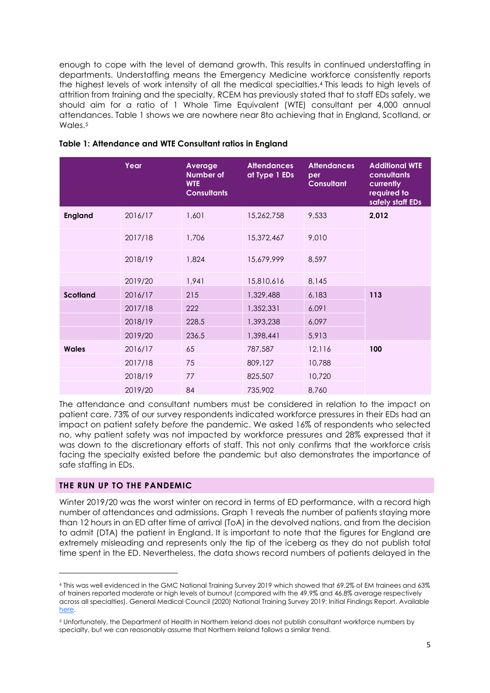enough to cope with the level of demand growth. This results in continued understaffing in departments. Understaffing means the Emergency Medicine workforce consistently reports the highest levels of work intensity of all the medical specialties. <sup>4</sup> This leads to high levels of attrition from training and the specialty. RCEM has previously stated that to staff EDs safely, we should aim for a ratio of 1 Whole Time Equivalent (WTE) consultant per 4,000 annual attendances. Table 1 shows we are nowhere near 8to achieving that in England, Scotland, or Wales. 5

|                 | Year    | Average<br><b>Number of</b><br><b>WTE</b><br><b>Consultants</b> | <b>Attendances</b><br>at Type 1 EDs | <b>Attendances</b><br>per<br><b>Consultant</b> | <b>Additional WTE</b><br><b>consultants</b><br>currently<br>required to<br>safely staff EDs |
|-----------------|---------|-----------------------------------------------------------------|-------------------------------------|------------------------------------------------|---------------------------------------------------------------------------------------------|
| <b>England</b>  | 2016/17 | 1,601                                                           | 15,262,758                          | 9,533                                          | 2,012                                                                                       |
|                 | 2017/18 | 1,706                                                           | 15,372,467                          | 9,010                                          |                                                                                             |
|                 | 2018/19 | 1,824                                                           | 15,679,999                          | 8,597                                          |                                                                                             |
|                 | 2019/20 | 1,941                                                           | 15,810,616                          | 8,145                                          |                                                                                             |
| <b>Scotland</b> | 2016/17 | 215                                                             | 1,329,488                           | 6,183                                          | 113                                                                                         |
|                 | 2017/18 | 222                                                             | 1,352,331                           | 6,091                                          |                                                                                             |
|                 | 2018/19 | 228.5                                                           | 1,393,238                           | 6,097                                          |                                                                                             |
|                 | 2019/20 | 236.5                                                           | 1,398,441                           | 5,913                                          |                                                                                             |
| <b>Wales</b>    | 2016/17 | 65                                                              | 787,587                             | 12,116                                         | 100                                                                                         |
|                 | 2017/18 | 75                                                              | 809,127                             | 10,788                                         |                                                                                             |
|                 | 2018/19 | 77                                                              | 825,507                             | 10,720                                         |                                                                                             |
|                 | 2019/20 | 84                                                              | 735,902                             | 8,760                                          |                                                                                             |

#### **Table 1: Attendance and WTE Consultant ratios in England**

The attendance and consultant numbers must be considered in relation to the impact on patient care. 73% of our survey respondents indicated workforce pressures in their EDs had an impact on patient safety *before* the pandemic. We asked 16% of respondents who selected no, why patient safety was not impacted by workforce pressures and 28% expressed that it was down to the discretionary efforts of staff. This not only confirms that the workforce crisis facing the specialty existed before the pandemic but also demonstrates the importance of safe staffing in EDs.

#### **THE RUN UP TO THE PANDEMIC**

Winter 2019/20 was the worst winter on record in terms of ED performance, with a record high number of attendances and admissions. Graph 1 reveals the number of patients staying more than 12 hours in an ED after time of arrival (ToA) in the devolved nations, and from the decision to admit (DTA) the patient in England. It is important to note that the figures for England are extremely misleading and represents only the tip of the iceberg as they do not publish total time spent in the ED. Nevertheless, the data shows record numbers of patients delayed in the

<sup>4</sup> This was well evidenced in the GMC National Training Survey 2019 which showed that 69.2% of EM trainees and 63% of trainers reported moderate or high levels of burnout (compared with the 49.9% and 46.8% average respectively across all specialties). General Medical Council (2020) National Training Survey 2019: Initial Findings Report. Available [here.](https://committees.parliament.uk/writtenevidence/11203/pdf/) 

<sup>5</sup> Unfortunately, the Department of Health in Northern Ireland does not publish consultant workforce numbers by specialty, but we can reasonably assume that Northern Ireland follows a similar trend.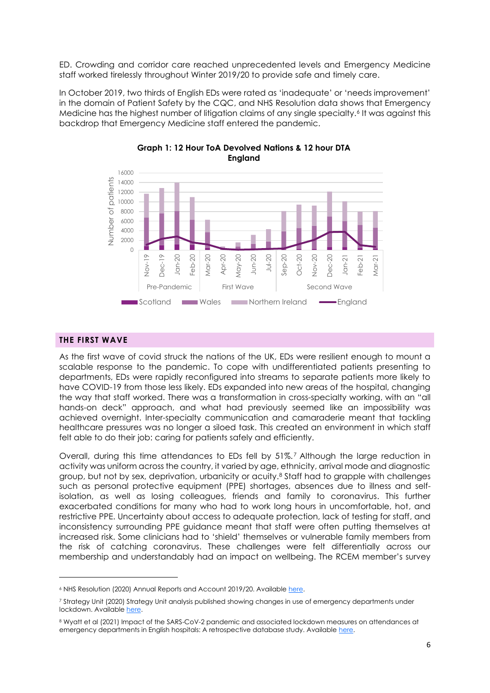ED. Crowding and corridor care reached unprecedented levels and Emergency Medicine staff worked tirelessly throughout Winter 2019/20 to provide safe and timely care.

In October 2019, two thirds of English EDs were rated as 'inadequate' or 'needs improvement' in the domain of Patient Safety by the CQC, and NHS Resolution data shows that Emergency Medicine has the highest number of litigation claims of any single specialty.<sup>6</sup> It was against this backdrop that Emergency Medicine staff entered the pandemic.



### **Graph 1: 12 Hour ToA Devolved Nations & 12 hour DTA England**

#### **THE FIRST WAVE**

As the first wave of covid struck the nations of the UK, EDs were resilient enough to mount a scalable response to the pandemic. To cope with undifferentiated patients presenting to departments, EDs were rapidly reconfigured into streams to separate patients more likely to have COVID-19 from those less likely. EDs expanded into new areas of the hospital, changing the way that staff worked. There was a transformation in cross-specialty working, with an "all hands-on deck" approach, and what had previously seemed like an impossibility was achieved overnight. Inter-specialty communication and camaraderie meant that tackling healthcare pressures was no longer a siloed task. This created an environment in which staff felt able to do their job: caring for patients safely and efficiently.

Overall, during this time attendances to EDs fell by 51%. <sup>7</sup> Although the large reduction in activity was uniform across the country, it varied by age, ethnicity, arrival mode and diagnostic group, but not by sex, deprivation, urbanicity or acuity.<sup>8</sup> Staff had to grapple with challenges such as personal protective equipment (PPE) shortages, absences due to illness and selfisolation, as well as losing colleagues, friends and family to coronavirus. This further exacerbated conditions for many who had to work long hours in uncomfortable, hot, and restrictive PPE. Uncertainty about access to adequate protection, lack of testing for staff, and inconsistency surrounding PPE guidance meant that staff were often putting themselves at increased risk. Some clinicians had to 'shield' themselves or vulnerable family members from the risk of catching coronavirus. These challenges were felt differentially across our membership and understandably had an impact on wellbeing. The RCEM member's survey

<sup>&</sup>lt;sup>6</sup> NHS Resolution (2020) Annual Reports and Account 2019/20. Availabl[e here.](https://resolution.nhs.uk/2020/07/16/nhs-resolutions-annual-report-and-accounts-2019-20/)

<sup>7</sup> Strategy Unit (2020) Strategy Unit analysis published showing changes in use of emergency departments under lockdown. Availabl[e here.](https://www.strategyunitwm.nhs.uk/news/strategy-unit-analysis-published-showing-changes-use-emergency-departments-under-lockdown)

<sup>8</sup> Wyatt et al (2021) Impact of the SARS-CoV-2 pandemic and associated lockdown measures on attendances at emergency departments in English hospitals: A retrospective database study. Availabl[e here.](https://www.thelancet.com/action/showPdf?pii=S2666-7762%2821%2900011-9)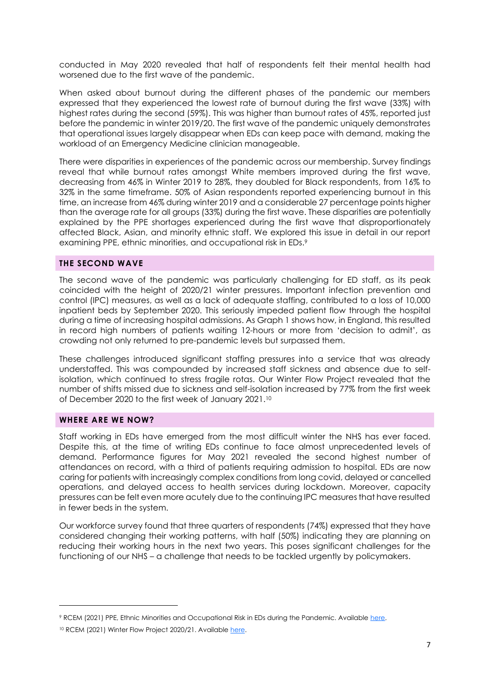conducted in May 2020 revealed that half of respondents felt their mental health had worsened due to the first wave of the pandemic.

When asked about burnout during the different phases of the pandemic our members expressed that they experienced the lowest rate of burnout during the first wave (33%) with highest rates during the second (59%). This was higher than burnout rates of 45%, reported just before the pandemic in winter 2019/20. The first wave of the pandemic uniquely demonstrates that operational issues largely disappear when EDs can keep pace with demand, making the workload of an Emergency Medicine clinician manageable.

There were disparities in experiences of the pandemic across our membership. Survey findings reveal that while burnout rates amongst White members improved during the first wave, decreasing from 46% in Winter 2019 to 28%, they doubled for Black respondents, from 16% to 32% in the same timeframe. 50% of Asian respondents reported experiencing burnout in this time, an increase from 46% during winter 2019 and a considerable 27 percentage points higher than the average rate for all groups (33%) during the first wave. These disparities are potentially explained by the PPE shortages experienced during the first wave that disproportionately affected Black, Asian, and minority ethnic staff. We explored this issue in detail in our report examining PPE, ethnic minorities, and occupational risk in EDs.<sup>9</sup>

#### **THE SECOND WAVE**

The second wave of the pandemic was particularly challenging for ED staff, as its peak coincided with the height of 2020/21 winter pressures. Important infection prevention and control (IPC) measures, as well as a lack of adequate staffing, contributed to a loss of 10,000 inpatient beds by September 2020. This seriously impeded patient flow through the hospital during a time of increasing hospital admissions. As Graph 1 shows how, in England, this resulted in record high numbers of patients waiting 12-hours or more from 'decision to admit', as crowding not only returned to pre-pandemic levels but surpassed them.

These challenges introduced significant staffing pressures into a service that was already understaffed. This was compounded by increased staff sickness and absence due to selfisolation, which continued to stress fragile rotas. Our Winter Flow Project revealed that the number of shifts missed due to sickness and self-isolation increased by 77% from the first week of December 2020 to the first week of January 2021.<sup>10</sup>

#### **WHERE ARE WE NOW?**

Staff working in EDs have emerged from the most difficult winter the NHS has ever faced. Despite this, at the time of writing EDs continue to face almost unprecedented levels of demand. Performance figures for May 2021 revealed the second highest number of attendances on record, with a third of patients requiring admission to hospital. EDs are now caring for patients with increasingly complex conditions from long covid, delayed or cancelled operations, and delayed access to health services during lockdown. Moreover, capacity pressures can be felt even more acutely due to the continuing IPC measures that have resulted in fewer beds in the system.

Our workforce survey found that three quarters of respondents (74%) expressed that they have considered changing their working patterns, with half (50%) indicating they are planning on reducing their working hours in the next two years. This poses significant challenges for the functioning of our NHS – a challenge that needs to be tackled urgently by policymakers.

<sup>9</sup> RCEM (2021) PPE, Ethnic Minorities and Occupational Risk in EDs during the Pandemic. Available [here.](https://www.rcem.ac.uk/docs/Policy/RCEM%20PPE,%20ethnic%20minorities,%20and%20risk%20in%20EDs%20during%20the%20pandemic.pdf)

<sup>10</sup> RCEM (2021) Winter Flow Project 2020/21. Available [here.](https://www.rcem.ac.uk/RCEM/Quality_Policy/Policy/Winter_Flow_Project/RCEM/Quality-Policy/Policy/Winter_Flow_Project.aspx)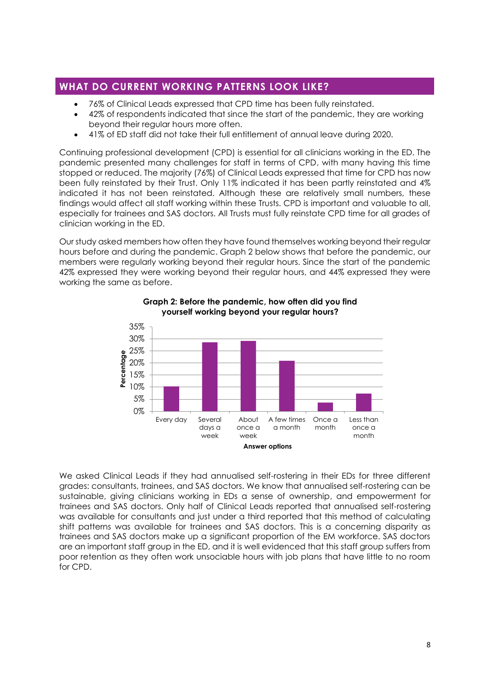## <span id="page-8-0"></span>**WHAT DO CURRENT WORKING PATTERNS LOOK LIKE?**

- 76% of Clinical Leads expressed that CPD time has been fully reinstated.
- 42% of respondents indicated that since the start of the pandemic, they are working beyond their regular hours more often.
- 41% of ED staff did not take their full entitlement of annual leave during 2020.

Continuing professional development (CPD) is essential for all clinicians working in the ED. The pandemic presented many challenges for staff in terms of CPD, with many having this time stopped or reduced. The majority (76%) of Clinical Leads expressed that time for CPD has now been fully reinstated by their Trust. Only 11% indicated it has been partly reinstated and 4% indicated it has not been reinstated. Although these are relatively small numbers, these findings would affect all staff working within these Trusts. CPD is important and valuable to all, especially for trainees and SAS doctors. All Trusts must fully reinstate CPD time for all grades of clinician working in the ED.

Our study asked members how often they have found themselves working beyond their regular hours before and during the pandemic. Graph 2 below shows that before the pandemic, our members were regularly working beyond their regular hours. Since the start of the pandemic 42% expressed they were working beyond their regular hours, and 44% expressed they were working the same as before.



**Graph 2: Before the pandemic, how often did you find yourself working beyond your regular hours?**

We asked Clinical Leads if they had annualised self-rostering in their EDs for three different grades: consultants, trainees, and SAS doctors. We know that annualised self-rostering can be sustainable, giving clinicians working in EDs a sense of ownership, and empowerment for trainees and SAS doctors. Only half of Clinical Leads reported that annualised self-rostering was available for consultants and just under a third reported that this method of calculating shift patterns was available for trainees and SAS doctors. This is a concerning disparity as trainees and SAS doctors make up a significant proportion of the EM workforce. SAS doctors are an important staff group in the ED, and it is well evidenced that this staff group suffers from poor retention as they often work unsociable hours with job plans that have little to no room for CPD.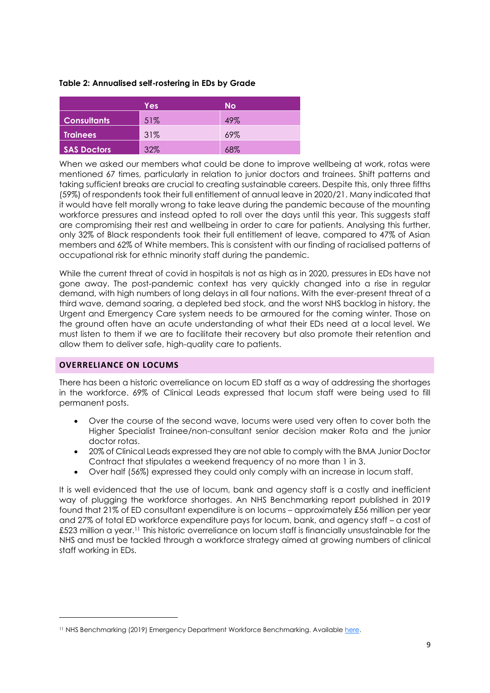#### **Table 2: Annualised self-rostering in EDs by Grade**

|                    | Yes | <b>No</b> |
|--------------------|-----|-----------|
| <b>Consultants</b> | 51% | 49%       |
| <b>Trainees</b>    | 31% | 69%       |
| <b>SAS Doctors</b> | 32% | 68%       |

When we asked our members what could be done to improve wellbeing at work, rotas were mentioned 67 times, particularly in relation to junior doctors and trainees. Shift patterns and taking sufficient breaks are crucial to creating sustainable careers. Despite this, only three fifths (59%) of respondents took their full entitlement of annual leave in 2020/21. Many indicated that it would have felt morally wrong to take leave during the pandemic because of the mounting workforce pressures and instead opted to roll over the days until this year. This suggests staff are compromising their rest and wellbeing in order to care for patients. Analysing this further, only 32% of Black respondents took their full entitlement of leave, compared to 47% of Asian members and 62% of White members. This is consistent with our finding of racialised patterns of occupational risk for ethnic minority staff during the pandemic.

While the current threat of covid in hospitals is not as high as in 2020, pressures in EDs have not gone away. The post-pandemic context has very quickly changed into a rise in regular demand, with high numbers of long delays in all four nations. With the ever-present threat of a third wave, demand soaring, a depleted bed stock, and the worst NHS backlog in history, the Urgent and Emergency Care system needs to be armoured for the coming winter. Those on the ground often have an acute understanding of what their EDs need at a local level. We must listen to them if we are to facilitate their recovery but also promote their retention and allow them to deliver safe, high-quality care to patients.

#### **OVERRELIANCE ON LOCUMS**

There has been a historic overreliance on locum ED staff as a way of addressing the shortages in the workforce. 69% of Clinical Leads expressed that locum staff were being used to fill permanent posts.

- Over the course of the second wave, locums were used very often to cover both the Higher Specialist Trainee/non-consultant senior decision maker Rota and the junior doctor rotas.
- 20% of Clinical Leads expressed they are not able to comply with the BMA Junior Doctor Contract that stipulates a weekend frequency of no more than 1 in 3.
- Over half (56%) expressed they could only comply with an increase in locum staff.

It is well evidenced that the use of locum, bank and agency staff is a costly and inefficient way of plugging the workforce shortages. An NHS Benchmarking report published in 2019 found that 21% of ED consultant expenditure is on locums – approximately £56 million per year and 27% of total ED workforce expenditure pays for locum, bank, and agency staff – a cost of £523 million a year.<sup>11</sup> This historic overreliance on locum staff is financially unsustainable for the NHS and must be tackled through a workforce strategy aimed at growing numbers of clinical staff working in EDs.

<sup>&</sup>lt;sup>11</sup> NHS Benchmarking (2019) Emergency Department Workforce Benchmarking. Availabl[e here.](https://www.nhsbenchmarking.nhs.uk/news/emergency-department-workforce-benchmarking-report-finds-that-between-2012-and-2017-the-em-workforce-grew-at-an-average-of-66-per-year)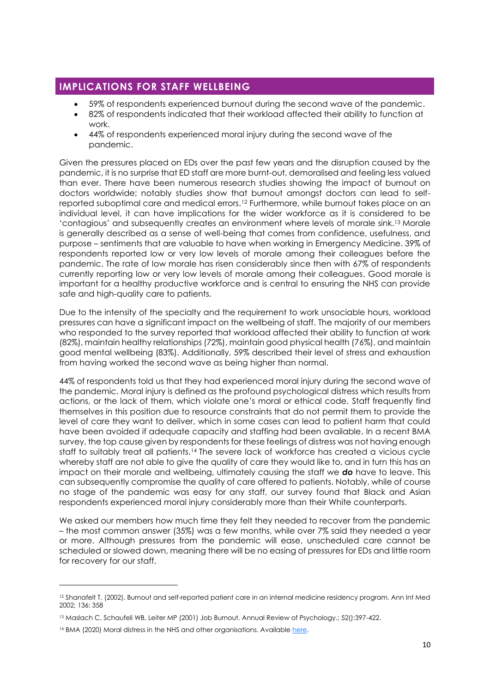## <span id="page-10-0"></span>**IMPLICATIONS FOR STAFF WELLBEING**

- 59% of respondents experienced burnout during the second wave of the pandemic.
- 82% of respondents indicated that their workload affected their ability to function at work.
- 44% of respondents experienced moral injury during the second wave of the pandemic.

Given the pressures placed on EDs over the past few years and the disruption caused by the pandemic, it is no surprise that ED staff are more burnt-out, demoralised and feeling less valued than ever. There have been numerous research studies showing the impact of burnout on doctors worldwide; notably studies show that burnout amongst doctors can lead to selfreported suboptimal care and medical errors.<sup>12</sup> Furthermore, while burnout takes place on an individual level, it can have implications for the wider workforce as it is considered to be 'contagious' and subsequently creates an environment where levels of morale sink.<sup>13</sup> Morale is generally described as a sense of well-being that comes from confidence, usefulness, and purpose – sentiments that are valuable to have when working in Emergency Medicine. 39% of respondents reported low or very low levels of morale among their colleagues before the pandemic. The rate of low morale has risen considerably since then with 67% of respondents currently reporting low or very low levels of morale among their colleagues. Good morale is important for a healthy productive workforce and is central to ensuring the NHS can provide safe and high-quality care to patients.

Due to the intensity of the specialty and the requirement to work unsociable hours, workload pressures can have a significant impact on the wellbeing of staff. The majority of our members who responded to the survey reported that workload affected their ability to function at work (82%), maintain healthy relationships (72%), maintain good physical health (76%), and maintain good mental wellbeing (83%). Additionally, 59% described their level of stress and exhaustion from having worked the second wave as being higher than normal.

44% of respondents told us that they had experienced moral injury during the second wave of the pandemic. Moral injury is defined as the profound psychological distress which results from actions, or the lack of them, which violate one's moral or ethical code. Staff frequently find themselves in this position due to resource constraints that do not permit them to provide the level of care they want to deliver, which in some cases can lead to patient harm that could have been avoided if adequate capacity and staffing had been available. In a recent BMA survey, the top cause given by respondents for these feelings of distress was not having enough staff to suitably treat all patients.<sup>14</sup> The severe lack of workforce has created a vicious cycle whereby staff are not able to give the quality of care they would like to, and in turn this has an impact on their morale and wellbeing, ultimately causing the staff we *do* have to leave. This can subsequently compromise the quality of care offered to patients. Notably, while of course no stage of the pandemic was easy for any staff, our survey found that Black and Asian respondents experienced moral injury considerably more than their White counterparts.

We asked our members how much time they felt they needed to recover from the pandemic – the most common answer (35%) was a few months, while over 7% said they needed a year or more. Although pressures from the pandemic will ease, unscheduled care cannot be scheduled or slowed down, meaning there will be no easing of pressures for EDs and little room for recovery for our staff.

<sup>12</sup> Shanafelt T. (2002). Burnout and self-reported patient care in an internal medicine residency program. Ann Int Med 2002; 136: 358

<sup>13</sup> Maslach C, Schaufeli WB, Leiter MP (2001) Job Burnout. Annual Review of Psychology.; 52():397-422.

<sup>14</sup> BMA (2020) Moral distress in the NHS and other organisations. Availabl[e here.](https://www.bma.org.uk/advice-and-support/nhs-delivery-and-workforce/creating-a-healthy-workplace/moral-distress-in-the-nhs-and-other-organisations)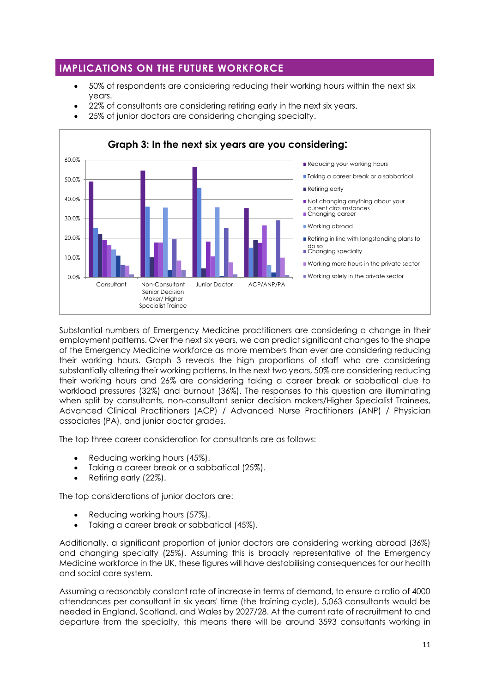## <span id="page-11-0"></span>**IMPLICATIONS ON THE FUTURE WORKFORCE**

- 50% of respondents are considering reducing their working hours within the next six years.
- 22% of consultants are considering retiring early in the next six years.
- 25% of junior doctors are considering changing specialty.



Substantial numbers of Emergency Medicine practitioners are considering a change in their employment patterns. Over the next six years, we can predict significant changes to the shape of the Emergency Medicine workforce as more members than ever are considering reducing their working hours. Graph 3 reveals the high proportions of staff who are considering substantially altering their working patterns. In the next two years, 50% are considering reducing their working hours and 26% are considering taking a career break or sabbatical due to workload pressures (32%) and burnout (36%). The responses to this question are illuminating when split by consultants, non-consultant senior decision makers/Higher Specialist Trainees, Advanced Clinical Practitioners (ACP) / Advanced Nurse Practitioners (ANP) / Physician associates (PA), and junior doctor grades.

The top three career consideration for consultants are as follows:

- Reducing working hours (45%).
- Taking a career break or a sabbatical (25%).
- Retiring early (22%).

The top considerations of junior doctors are:

- Reducing working hours (57%).
- Taking a career break or sabbatical (45%).

Additionally, a significant proportion of junior doctors are considering working abroad (36%) and changing specialty (25%). Assuming this is broadly representative of the Emergency Medicine workforce in the UK, these figures will have destabilising consequences for our health and social care system.

Assuming a reasonably constant rate of increase in terms of demand, to ensure a ratio of 4000 attendances per consultant in six years' time (the training cycle), 5,063 consultants would be needed in England, Scotland, and Wales by 2027/28. At the current rate of recruitment to and departure from the specialty, this means there will be around 3593 consultants working in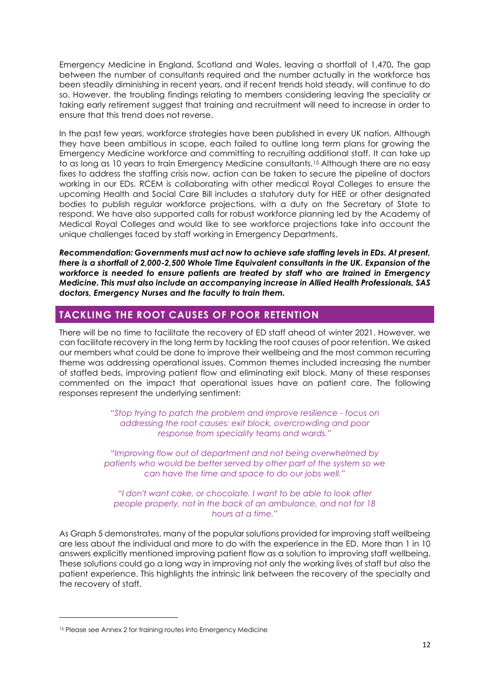Emergency Medicine in England, Scotland and Wales, leaving a shortfall of 1,470**.** The gap between the number of consultants required and the number actually in the workforce has been steadily diminishing in recent years, and if recent trends hold steady, will continue to do so. However, the troubling findings relating to members considering leaving the speciality or taking early retirement suggest that training and recruitment will need to increase in order to ensure that this trend does not reverse.

In the past few years, workforce strategies have been published in every UK nation. Although they have been ambitious in scope, each failed to outline long term plans for growing the Emergency Medicine workforce and committing to recruiting additional staff. It can take up to as long as 10 years to train Emergency Medicine consultants.<sup>15</sup> Although there are no easy fixes to address the staffing crisis now, action can be taken to secure the pipeline of doctors working in our EDs. RCEM is collaborating with other medical Royal Colleges to ensure the upcoming Health and Social Care Bill includes a statutory duty for HEE or other designated bodies to publish regular workforce projections, with a duty on the Secretary of State to respond. We have also supported calls for robust workforce planning led by the Academy of Medical Royal Colleges and would like to see workforce projections take into account the unique challenges faced by staff working in Emergency Departments.

*Recommendation: Governments must act now to achieve safe staffing levels in EDs. At present, there is a shortfall of 2,000-2,500 Whole Time Equivalent consultants in the UK. Expansion of the workforce is needed to ensure patients are treated by staff who are trained in Emergency Medicine. This must also include an accompanying increase in Allied Health Professionals, SAS doctors, Emergency Nurses and the faculty to train them.*

## <span id="page-12-0"></span>**TACKLING THE ROOT CAUSES OF POOR RETENTION**

There will be no time to facilitate the recovery of ED staff ahead of winter 2021. However, we can facilitate recovery in the long term by tackling the root causes of poor retention. We asked our members what could be done to improve their wellbeing and the most common recurring theme was addressing operational issues. Common themes included increasing the number of staffed beds, improving patient flow and eliminating exit block. Many of these responses commented on the impact that operational issues have on patient care. The following responses represent the underlying sentiment:

> *"Stop trying to patch the problem and improve resilience - focus on addressing the root causes: exit block, overcrowding and poor response from speciality teams and wards."*

*"Improving flow out of department and not being overwhelmed by patients who would be better served by other part of the system so we can have the time and space to do our jobs well."*

*"I don't want cake, or chocolate. I want to be able to look after people properly, not in the back of an ambulance, and not for 18 hours at a time."*

As Graph 5 demonstrates, many of the popular solutions provided for improving staff wellbeing are less about the individual and more to do with the experience in the ED. More than 1 in 10 answers explicitly mentioned improving patient flow as a solution to improving staff wellbeing. These solutions could go a long way in improving not only the working lives of staff but also the patient experience. This highlights the intrinsic link between the recovery of the specialty and the recovery of staff.

<sup>15</sup> Please see Annex 2 for training routes into Emergency Medicine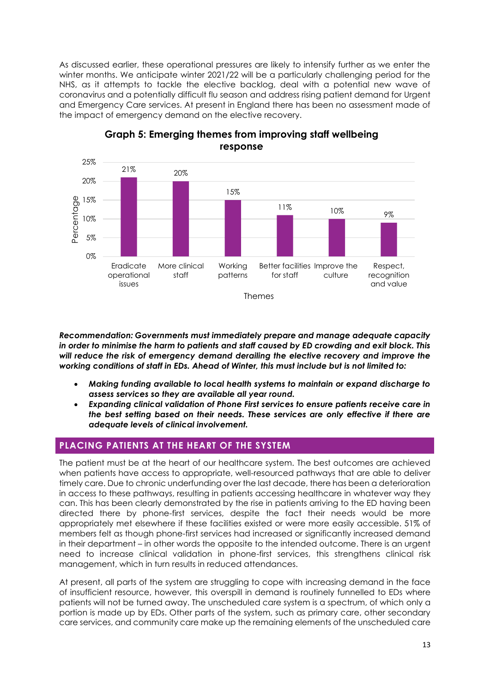As discussed earlier, these operational pressures are likely to intensify further as we enter the winter months. We anticipate winter 2021/22 will be a particularly challenging period for the NHS, as it attempts to tackle the elective backlog, deal with a potential new wave of coronavirus and a potentially difficult flu season and address rising patient demand for Urgent and Emergency Care services. At present in England there has been no assessment made of the impact of emergency demand on the elective recovery.



## **Graph 5: Emerging themes from improving staff wellbeing response**

*Recommendation: Governments must immediately prepare and manage adequate capacity in order to minimise the harm to patients and staff caused by ED crowding and exit block. This will reduce the risk of emergency demand derailing the elective recovery and improve the working conditions of staff in EDs. Ahead of Winter, this must include but is not limited to:* 

- *Making funding available to local health systems to maintain or expand discharge to assess services so they are available all year round.*
- *Expanding clinical validation of Phone First services to ensure patients receive care in the best setting based on their needs. These services are only effective if there are adequate levels of clinical involvement.*

## <span id="page-13-0"></span>**PLACING PATIENTS AT THE HEART OF THE SYSTEM**

The patient must be at the heart of our healthcare system. The best outcomes are achieved when patients have access to appropriate, well-resourced pathways that are able to deliver timely care. Due to chronic underfunding over the last decade, there has been a deterioration in access to these pathways, resulting in patients accessing healthcare in whatever way they can. This has been clearly demonstrated by the rise in patients arriving to the ED having been directed there by phone-first services, despite the fact their needs would be more appropriately met elsewhere if these facilities existed or were more easily accessible. 51% of members felt as though phone-first services had increased or significantly increased demand in their department – in other words the opposite to the intended outcome. There is an urgent need to increase clinical validation in phone-first services, this strengthens clinical risk management, which in turn results in reduced attendances.

At present, all parts of the system are struggling to cope with increasing demand in the face of insufficient resource, however, this overspill in demand is routinely funnelled to EDs where patients will not be turned away. The unscheduled care system is a spectrum, of which only a portion is made up by EDs. Other parts of the system, such as primary care, other secondary care services, and community care make up the remaining elements of the unscheduled care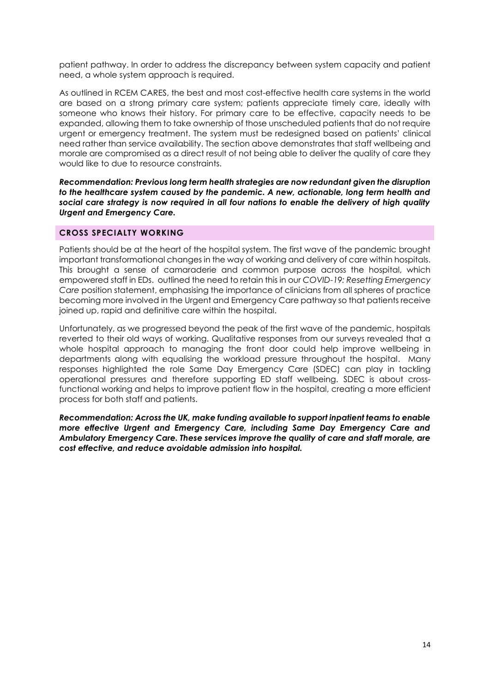patient pathway. In order to address the discrepancy between system capacity and patient need, a whole system approach is required.

As outlined in RCEM CARES, the best and most cost-effective health care systems in the world are based on a strong primary care system; patients appreciate timely care, ideally with someone who knows their history. For primary care to be effective, capacity needs to be expanded, allowing them to take ownership of those unscheduled patients that do not require urgent or emergency treatment. The system must be redesigned based on patients' clinical need rather than service availability. The section above demonstrates that staff wellbeing and morale are compromised as a direct result of not being able to deliver the quality of care they would like to due to resource constraints.

*Recommendation: Previous long term health strategies are now redundant given the disruption to the healthcare system caused by the pandemic. A new, actionable, long term health and social care strategy is now required in all four nations to enable the delivery of high quality Urgent and Emergency Care.*

#### **CROSS SPECIALTY WORKING**

Patients should be at the heart of the hospital system. The first wave of the pandemic brought important transformational changes in the way of working and delivery of care within hospitals. This brought a sense of camaraderie and common purpose across the hospital, which empowered staff in EDs. outlined the need to retain this in our *COVID-19: Resetting Emergency Care* position statement, emphasising the importance of clinicians from all spheres of practice becoming more involved in the Urgent and Emergency Care pathway so that patients receive joined up, rapid and definitive care within the hospital.

Unfortunately, as we progressed beyond the peak of the first wave of the pandemic, hospitals reverted to their old ways of working. Qualitative responses from our surveys revealed that a whole hospital approach to managing the front door could help improve wellbeing in departments along with equalising the workload pressure throughout the hospital. Many responses highlighted the role Same Day Emergency Care (SDEC) can play in tackling operational pressures and therefore supporting ED staff wellbeing. SDEC is about crossfunctional working and helps to improve patient flow in the hospital, creating a more efficient process for both staff and patients.

*Recommendation: Across the UK, make funding available to support inpatient teams to enable more effective Urgent and Emergency Care, including Same Day Emergency Care and Ambulatory Emergency Care. These services improve the quality of care and staff morale, are cost effective, and reduce avoidable admission into hospital.*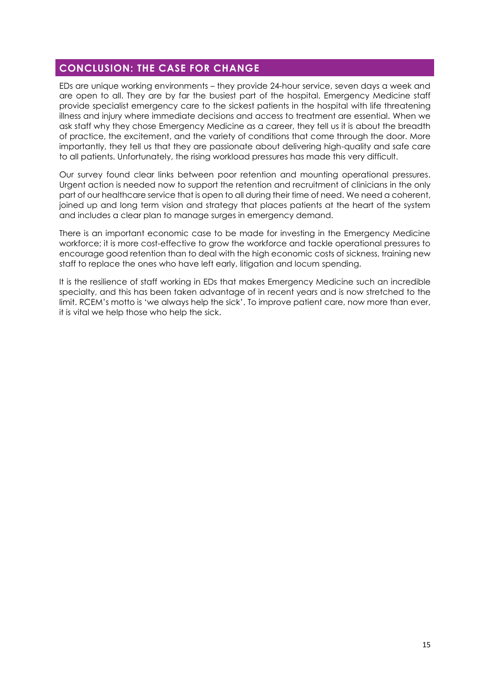## <span id="page-15-0"></span>**CONCLUSION: THE CASE FOR CHANGE**

EDs are unique working environments – they provide 24-hour service, seven days a week and are open to all. They are by far the busiest part of the hospital. Emergency Medicine staff provide specialist emergency care to the sickest patients in the hospital with life threatening illness and injury where immediate decisions and access to treatment are essential. When we ask staff why they chose Emergency Medicine as a career, they tell us it is about the breadth of practice, the excitement, and the variety of conditions that come through the door. More importantly, they tell us that they are passionate about delivering high-quality and safe care to all patients. Unfortunately, the rising workload pressures has made this very difficult.

Our survey found clear links between poor retention and mounting operational pressures. Urgent action is needed now to support the retention and recruitment of clinicians in the only part of our healthcare service that is open to all during their time of need. We need a coherent, joined up and long term vision and strategy that places patients at the heart of the system and includes a clear plan to manage surges in emergency demand.

There is an important economic case to be made for investing in the Emergency Medicine workforce; it is more cost-effective to grow the workforce and tackle operational pressures to encourage good retention than to deal with the high economic costs of sickness, training new staff to replace the ones who have left early, litigation and locum spending.

It is the resilience of staff working in EDs that makes Emergency Medicine such an incredible specialty, and this has been taken advantage of in recent years and is now stretched to the limit. RCEM's motto is 'we always help the sick'. To improve patient care, now more than ever, it is vital we help those who help the sick.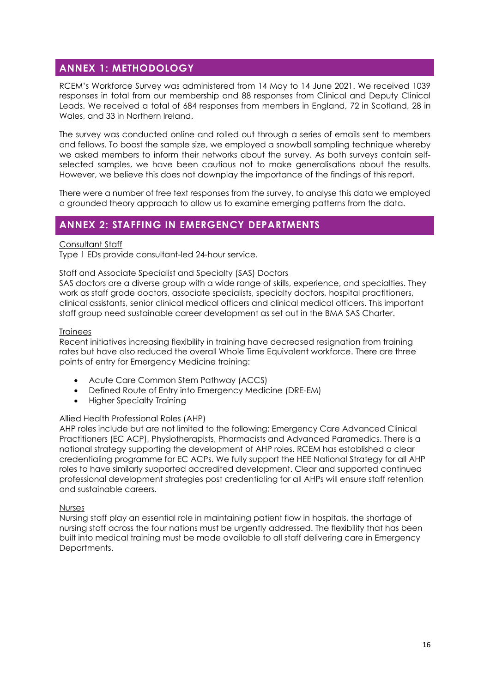## <span id="page-16-0"></span>**ANNEX 1: METHODOLOGY**

RCEM's Workforce Survey was administered from 14 May to 14 June 2021. We received 1039 responses in total from our membership and 88 responses from Clinical and Deputy Clinical Leads. We received a total of 684 responses from members in England, 72 in Scotland, 28 in Wales, and 33 in Northern Ireland.

The survey was conducted online and rolled out through a series of emails sent to members and fellows. To boost the sample size, we employed a snowball sampling technique whereby we asked members to inform their networks about the survey. As both surveys contain selfselected samples, we have been cautious not to make generalisations about the results. However, we believe this does not downplay the importance of the findings of this report.

There were a number of free text responses from the survey, to analyse this data we employed a grounded theory approach to allow us to examine emerging patterns from the data.

## <span id="page-16-1"></span>**ANNEX 2: STAFFING IN EMERGENCY DEPARTMENTS**

### Consultant Staff

Type 1 EDs provide consultant-led 24-hour service.

#### Staff and Associate Specialist and Specialty (SAS) Doctors

SAS doctors are a diverse group with a wide range of skills, experience, and specialties. They work as staff grade doctors, associate specialists, specialty doctors, hospital practitioners, clinical assistants, senior clinical medical officers and clinical medical officers. This important staff group need sustainable career development as set out in the BMA SAS Charter.

#### **Trainees**

Recent initiatives increasing flexibility in training have decreased resignation from training rates but have also reduced the overall Whole Time Equivalent workforce. There are three points of entry for Emergency Medicine training:

- Acute Care Common Stem Pathway (ACCS)
- Defined Route of Entry into Emergency Medicine (DRE-EM)
- Higher Specialty Training

## Allied Health Professional Roles (AHP)

AHP roles include but are not limited to the following: Emergency Care Advanced Clinical Practitioners (EC ACP), Physiotherapists, Pharmacists and Advanced Paramedics. There is a national strategy supporting the development of AHP roles. RCEM has established a clear credentialing programme for EC ACPs. We fully support the HEE National Strategy for all AHP roles to have similarly supported accredited development. Clear and supported continued professional development strategies post credentialing for all AHPs will ensure staff retention and sustainable careers.

#### Nurses

Nursing staff play an essential role in maintaining patient flow in hospitals, the shortage of nursing staff across the four nations must be urgently addressed. The flexibility that has been built into medical training must be made available to all staff delivering care in Emergency Departments.